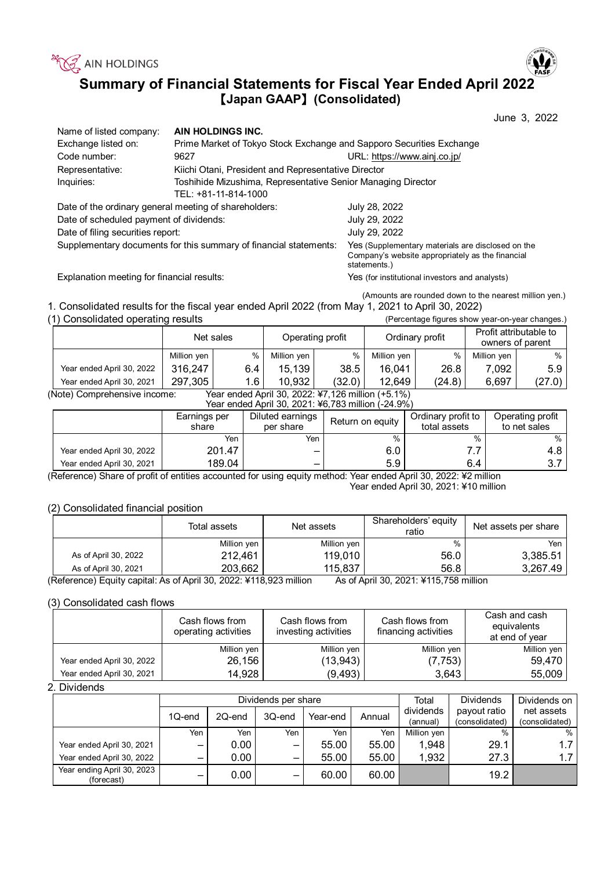

# **Summary of Financial Statements for Fiscal Year Ended April 2022**  【**Japan GAAP**】**(Consolidated)**

|                                                                   |                                                                      | June 3, 2022                                                                                                          |  |  |  |
|-------------------------------------------------------------------|----------------------------------------------------------------------|-----------------------------------------------------------------------------------------------------------------------|--|--|--|
| Name of listed company:                                           | AIN HOLDINGS INC.                                                    |                                                                                                                       |  |  |  |
| Exchange listed on:                                               | Prime Market of Tokyo Stock Exchange and Sapporo Securities Exchange |                                                                                                                       |  |  |  |
| Code number:                                                      | 9627                                                                 | URL: https://www.ainj.co.jp/                                                                                          |  |  |  |
| Representative:                                                   | Kiichi Otani, President and Representative Director                  |                                                                                                                       |  |  |  |
| Inquiries:                                                        | Toshihide Mizushima, Representative Senior Managing Director         |                                                                                                                       |  |  |  |
|                                                                   | TEL: +81-11-814-1000                                                 |                                                                                                                       |  |  |  |
| Date of the ordinary general meeting of shareholders:             |                                                                      | July 28, 2022                                                                                                         |  |  |  |
| Date of scheduled payment of dividends:                           |                                                                      | July 29, 2022                                                                                                         |  |  |  |
| Date of filing securities report:                                 |                                                                      | July 29, 2022                                                                                                         |  |  |  |
| Supplementary documents for this summary of financial statements: |                                                                      | Yes (Supplementary materials are disclosed on the<br>Company's website appropriately as the financial<br>statements.) |  |  |  |
| Explanation meeting for financial results:                        |                                                                      | Yes (for institutional investors and analysts)                                                                        |  |  |  |

(Amounts are rounded down to the nearest million yen.)

1. Consolidated results for the fiscal year ended April 2022 (from May 1, 2021 to April 30, 2022) (1) Consolidated operating results (Percentage figures show year-on-year changes.)

| (1) Consolidated operating results                                                |             |     |                  |        |                 |        | (Percentage figures show year-on-year changes.) |                  |
|-----------------------------------------------------------------------------------|-------------|-----|------------------|--------|-----------------|--------|-------------------------------------------------|------------------|
|                                                                                   | Net sales   |     | Operating profit |        | Ordinary profit |        | Profit attributable to<br>owners of parent      |                  |
|                                                                                   | Million yen | %   | Million yen      | %      | Million yen     | $\%$   | Million yen                                     | $%$ 1            |
| Year ended April 30, 2022                                                         | 316.247     | 6.4 | 15,139           | 38.5   | 16,041          | 26.8   | 7.092                                           | 5.9 <sub>1</sub> |
| Year ended April 30, 2021                                                         | 297,305     | 1.6 | 10.932           | (32.0) | 12,649          | (24.8) | 6.697                                           | (27.0)           |
| Year ended April 30, 2022: ¥7,126 million (+5.1%)<br>(Note) Comprehensive income: |             |     |                  |        |                 |        |                                                 |                  |

Year ended April 30, 2021: ¥6,783 million (-24.9%)

| <u>1681 GNUGU ADIN JU, ZUZ 1. +0,700 MMNUN (-24.970)</u> |                       |                                                   |      |                                    |                                  |  |  |  |
|----------------------------------------------------------|-----------------------|---------------------------------------------------|------|------------------------------------|----------------------------------|--|--|--|
|                                                          | Earnings per<br>share | Diluted earnings<br>Return on equity<br>per share |      | Ordinary profit to<br>total assets | Operating profit<br>to net sales |  |  |  |
|                                                          | Yen                   | Yen                                               | $\%$ | $\%$                               | %                                |  |  |  |
| Year ended April 30, 2022                                | 201.47                | -                                                 | 6.0  |                                    | 4.8                              |  |  |  |
| Year ended April 30, 2021                                | 189.04                | $\overline{\phantom{0}}$                          | 5.9  | 6.4                                | ن. ب                             |  |  |  |

(Reference) Share of profit of entities accounted for using equity method: Year ended April 30, 2022: ¥2 million Year ended April 30, 2021: ¥10 million

(2) Consolidated financial position

|                                                                               | Total assets | Net assets  | Shareholders' equity<br>ratio                         | Net assets per share |
|-------------------------------------------------------------------------------|--------------|-------------|-------------------------------------------------------|----------------------|
|                                                                               | Million yen  | Million yen | %                                                     | Yen                  |
| As of April 30, 2022                                                          | 212,461      | 119.010     | 56.0                                                  | 3,385.51             |
| As of April 30, 2021                                                          | 203,662      | 115,837     | 56.8                                                  | 3,267.49             |
| $(Doforona)$ Equity copital: $\Delta_{D}$ of April 20, 2022; V449,022 million |              |             | $A_0$ of April 20, 2021: V <sub>115</sub> 750 million |                      |

(Reference) Equity capital: As of April 30, 2022: ¥118,923 million As of April 30, 2021: ¥115,758 million

## (3) Consolidated cash flows

|                           | Cash flows from<br>operating activities | Cash flows from<br>investing activities | Cash flows from<br>financing activities | Cash and cash<br>equivalents<br>at end of year |
|---------------------------|-----------------------------------------|-----------------------------------------|-----------------------------------------|------------------------------------------------|
|                           | Million yen                             | Million yen                             | Million yen                             | Million yen                                    |
| Year ended April 30, 2022 | 26,156                                  | (13,943)                                | (7, 753)                                | 59,470                                         |
| Year ended April 30, 2021 | 14,928                                  | (9, 493)                                | 3,643                                   | 55,009                                         |

2. Dividends

|                                          |                          |          | Dividends per share      | Total    | <b>Dividends</b> | Dividends on          |                                |                              |
|------------------------------------------|--------------------------|----------|--------------------------|----------|------------------|-----------------------|--------------------------------|------------------------------|
|                                          | 1Q-end                   | 2Q-end   | 3Q-end                   | Year-end | Annual           | dividends<br>(annual) | payout ratio<br>(consolidated) | net assets<br>(consolidated) |
|                                          | Yen                      | Yen      | Yen                      | Yen      | Yen              | Million yen           | $\%$                           | $\%$                         |
| Year ended April 30, 2021                | $\overline{\phantom{0}}$ | $0.00\,$ | -                        | 55.00    | 55.00            | 1,948                 | 29.1                           | 1.7                          |
| Year ended April 30, 2022                | -                        | $0.00\,$ | $\overline{\phantom{0}}$ | 55.00    | 55.00            | 1,932                 | 27.3                           | 1.7                          |
| Year ending April 30, 2023<br>(forecast) | _                        | 0.00     | -                        | 60.00    | 60.00            |                       | 19.2                           |                              |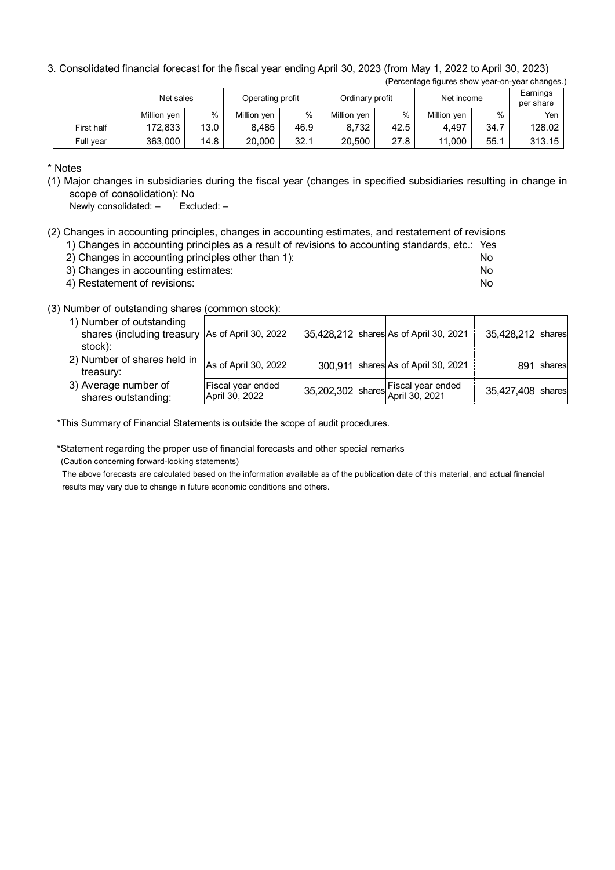3. Consolidated financial forecast for the fiscal year ending April 30, 2023 (from May 1, 2022 to April 30, 2023) (Percentage figures show year-on-year changes.)

|            | Net sales   |      | Operating profit<br>Ordinary profit |      |             | Net income | Earnings<br>per share |      |        |
|------------|-------------|------|-------------------------------------|------|-------------|------------|-----------------------|------|--------|
|            | Million yen | $\%$ | Million yen                         | %    | Million yen | %          | Million yen           | %    | Yen    |
| First half | 172.833     | 13.0 | 8.485                               | 46.9 | 8,732       | 42.5       | 4.497                 | 34.7 | 128.02 |
| Full vear  | 363.000     | 14.8 | 20,000                              | 32.1 | 20.500      | 27.8       | 11.000                | 55.1 | 313.15 |

\* Notes

(1) Major changes in subsidiaries during the fiscal year (changes in specified subsidiaries resulting in change in scope of consolidation): No

Newly consolidated: – Excluded: –

(2) Changes in accounting principles, changes in accounting estimates, and restatement of revisions

- 1) Changes in accounting principles as a result of revisions to accounting standards, etc.: Yes
- 2) Changes in accounting principles other than 1): No
- 3) Changes in accounting estimates: No
- 4) Restatement of revisions: No

### (3) Number of outstanding shares (common stock):

| 1) Number of outstanding<br>shares (including treasury As of April 30, 2022<br>stock): |                                     | 35,428,212 shares As of April 30, 2021                |                                     | 35,428,212 shares |
|----------------------------------------------------------------------------------------|-------------------------------------|-------------------------------------------------------|-------------------------------------|-------------------|
| 2) Number of shares held in<br>treasury:                                               | As of April 30, 2022                |                                                       | 300,911 shares As of April 30, 2021 | shares<br>891     |
| 3) Average number of<br>shares outstanding:                                            | Fiscal year ended<br>April 30, 2022 | 35,202,302 shares Fiscal year ended<br>April 30, 2021 |                                     | 35,427,408 shares |

\*This Summary of Financial Statements is outside the scope of audit procedures.

\*Statement regarding the proper use of financial forecasts and other special remarks

(Caution concerning forward-looking statements)

The above forecasts are calculated based on the information available as of the publication date of this material, and actual financial results may vary due to change in future economic conditions and others.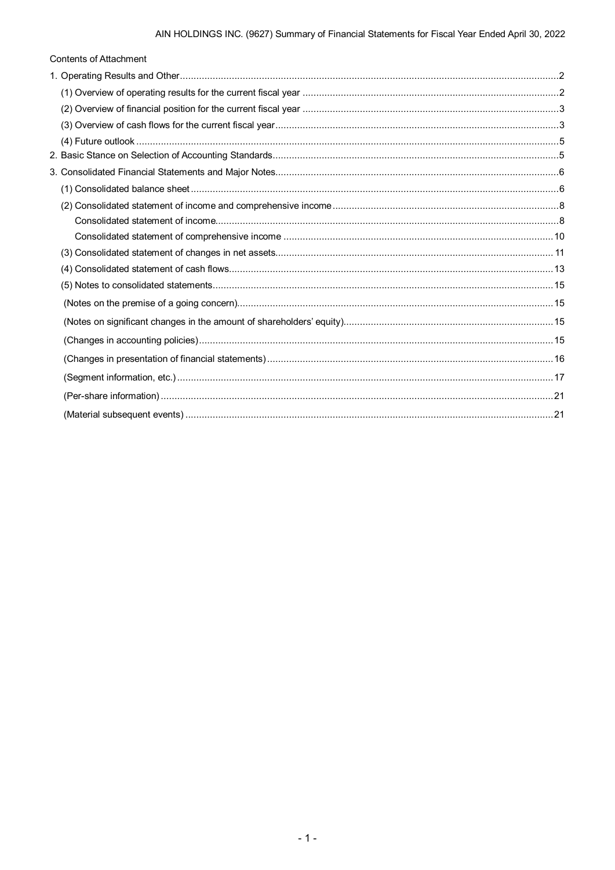| <b>Contents of Attachment</b> |  |
|-------------------------------|--|
|                               |  |
|                               |  |
|                               |  |
|                               |  |
|                               |  |
|                               |  |
|                               |  |
|                               |  |
|                               |  |
|                               |  |
|                               |  |
|                               |  |
|                               |  |
|                               |  |
|                               |  |
|                               |  |
|                               |  |
|                               |  |
|                               |  |
|                               |  |
|                               |  |
|                               |  |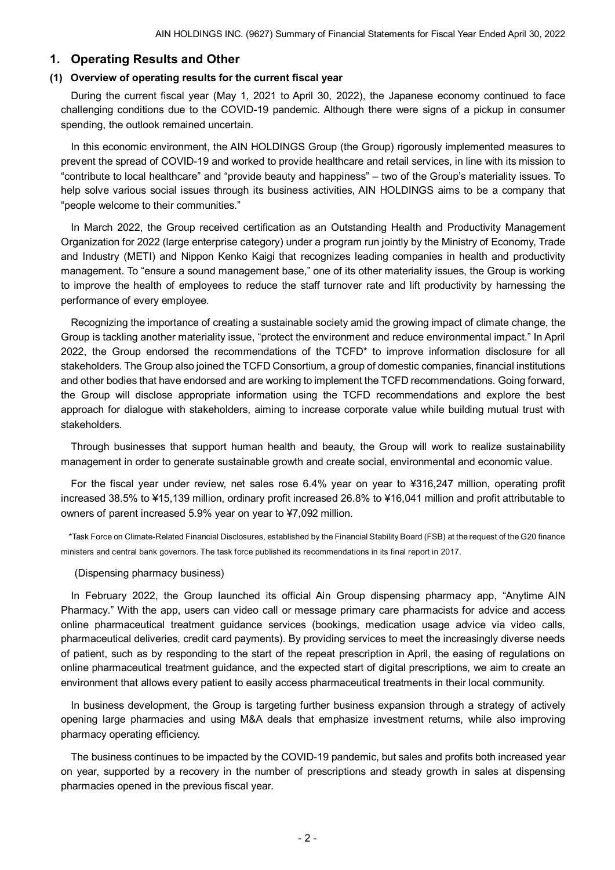## <span id="page-3-0"></span>**1. Operating Results and Other**

### <span id="page-3-1"></span>**(1) Overview of operating results for the current fiscal year**

During the current fiscal year (May 1, 2021 to April 30, 2022), the Japanese economy continued to face challenging conditions due to the COVID-19 pandemic. Although there were signs of a pickup in consumer spending, the outlook remained uncertain.

In this economic environment, the AIN HOLDINGS Group (the Group) rigorously implemented measures to prevent the spread of COVID-19 and worked to provide healthcare and retail services, in line with its mission to "contribute to local healthcare" and "provide beauty and happiness" – two of the Group's materiality issues. To help solve various social issues through its business activities, AIN HOLDINGS aims to be a company that "people welcome to their communities."

In March 2022, the Group received certification as an Outstanding Health and Productivity Management Organization for 2022 (large enterprise category) under a program run jointly by the Ministry of Economy, Trade and Industry (METI) and Nippon Kenko Kaigi that recognizes leading companies in health and productivity management. To "ensure a sound management base," one of its other materiality issues, the Group is working to improve the health of employees to reduce the staff turnover rate and lift productivity by harnessing the performance of every employee.

Recognizing the importance of creating a sustainable society amid the growing impact of climate change, the Group is tackling another materiality issue, "protect the environment and reduce environmental impact." In April 2022, the Group endorsed the recommendations of the TCFD\* to improve information disclosure for all stakeholders. The Group also joined the TCFD Consortium, a group of domestic companies, financial institutions and other bodies that have endorsed and are working to implement the TCFD recommendations. Going forward, the Group will disclose appropriate information using the TCFD recommendations and explore the best approach for dialogue with stakeholders, aiming to increase corporate value while building mutual trust with stakeholders.

Through businesses that support human health and beauty, the Group will work to realize sustainability management in order to generate sustainable growth and create social, environmental and economic value.

For the fiscal year under review, net sales rose 6.4% year on year to ¥316,247 million, operating profit increased 38.5% to ¥15,139 million, ordinary profit increased 26.8% to ¥16,041 million and profit attributable to owners of parent increased 5.9% year on year to ¥7,092 million.

\*Task Force on Climate-Related Financial Disclosures, established by the Financial Stability Board (FSB) at the request of the G20 finance ministers and central bank governors. The task force published its recommendations in its final report in 2017.

#### (Dispensing pharmacy business)

In February 2022, the Group launched its official Ain Group dispensing pharmacy app, "Anytime AIN Pharmacy." With the app, users can video call or message primary care pharmacists for advice and access online pharmaceutical treatment guidance services (bookings, medication usage advice via video calls, pharmaceutical deliveries, credit card payments). By providing services to meet the increasingly diverse needs of patient, such as by responding to the start of the repeat prescription in April, the easing of regulations on online pharmaceutical treatment guidance, and the expected start of digital prescriptions, we aim to create an environment that allows every patient to easily access pharmaceutical treatments in their local community.

In business development, the Group is targeting further business expansion through a strategy of actively opening large pharmacies and using M&A deals that emphasize investment returns, while also improving pharmacy operating efficiency.

The business continues to be impacted by the COVID-19 pandemic, but sales and profits both increased year on year, supported by a recovery in the number of prescriptions and steady growth in sales at dispensing pharmacies opened in the previous fiscal year.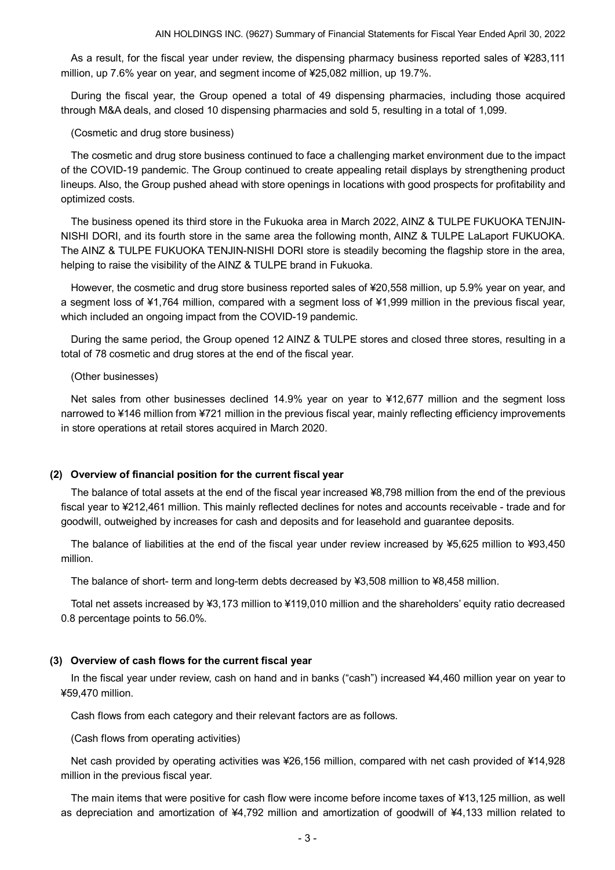As a result, for the fiscal year under review, the dispensing pharmacy business reported sales of ¥283,111 million, up 7.6% year on year, and segment income of ¥25,082 million, up 19.7%.

During the fiscal year, the Group opened a total of 49 dispensing pharmacies, including those acquired through M&A deals, and closed 10 dispensing pharmacies and sold 5, resulting in a total of 1,099.

(Cosmetic and drug store business)

The cosmetic and drug store business continued to face a challenging market environment due to the impact of the COVID-19 pandemic. The Group continued to create appealing retail displays by strengthening product lineups. Also, the Group pushed ahead with store openings in locations with good prospects for profitability and optimized costs.

The business opened its third store in the Fukuoka area in March 2022, AINZ & TULPE FUKUOKA TENJIN-NISHI DORI, and its fourth store in the same area the following month, AINZ & TULPE LaLaport FUKUOKA. The AINZ & TULPE FUKUOKA TENJIN-NISHI DORI store is steadily becoming the flagship store in the area, helping to raise the visibility of the AINZ & TULPE brand in Fukuoka.

However, the cosmetic and drug store business reported sales of ¥20,558 million, up 5.9% year on year, and a segment loss of ¥1,764 million, compared with a segment loss of ¥1,999 million in the previous fiscal year, which included an ongoing impact from the COVID-19 pandemic.

During the same period, the Group opened 12 AINZ & TULPE stores and closed three stores, resulting in a total of 78 cosmetic and drug stores at the end of the fiscal year.

(Other businesses)

Net sales from other businesses declined 14.9% year on year to ¥12,677 million and the segment loss narrowed to ¥146 million from ¥721 million in the previous fiscal year, mainly reflecting efficiency improvements in store operations at retail stores acquired in March 2020.

#### <span id="page-4-0"></span>**(2) Overview of financial position for the current fiscal year**

The balance of total assets at the end of the fiscal year increased ¥8,798 million from the end of the previous fiscal year to ¥212,461 million. This mainly reflected declines for notes and accounts receivable - trade and for goodwill, outweighed by increases for cash and deposits and for leasehold and guarantee deposits.

The balance of liabilities at the end of the fiscal year under review increased by ¥5,625 million to ¥93,450 million.

The balance of short- term and long-term debts decreased by ¥3,508 million to ¥8,458 million.

Total net assets increased by ¥3,173 million to ¥119,010 million and the shareholders' equity ratio decreased 0.8 percentage points to 56.0%.

#### <span id="page-4-1"></span>**(3) Overview of cash flows for the current fiscal year**

In the fiscal year under review, cash on hand and in banks ("cash") increased ¥4,460 million year on year to ¥59,470 million.

Cash flows from each category and their relevant factors are as follows.

(Cash flows from operating activities)

Net cash provided by operating activities was ¥26,156 million, compared with net cash provided of ¥14,928 million in the previous fiscal year.

The main items that were positive for cash flow were income before income taxes of ¥13,125 million, as well as depreciation and amortization of ¥4,792 million and amortization of goodwill of ¥4,133 million related to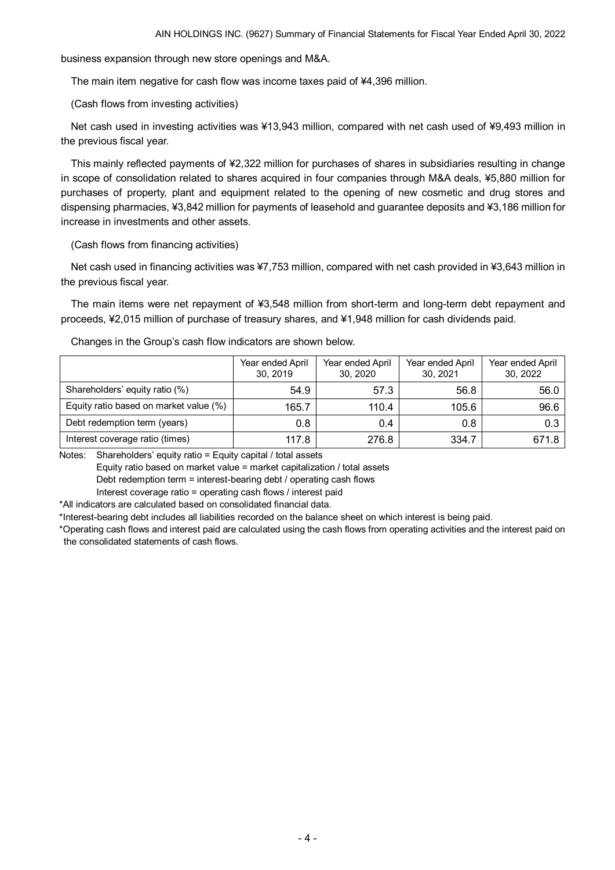business expansion through new store openings and M&A.

The main item negative for cash flow was income taxes paid of ¥4,396 million.

(Cash flows from investing activities)

Net cash used in investing activities was ¥13,943 million, compared with net cash used of ¥9,493 million in the previous fiscal year.

This mainly reflected payments of ¥2,322 million for purchases of shares in subsidiaries resulting in change in scope of consolidation related to shares acquired in four companies through M&A deals, ¥5,880 million for purchases of property, plant and equipment related to the opening of new cosmetic and drug stores and dispensing pharmacies, ¥3,842 million for payments of leasehold and guarantee deposits and ¥3,186 million for increase in investments and other assets.

(Cash flows from financing activities)

Net cash used in financing activities was ¥7,753 million, compared with net cash provided in ¥3,643 million in the previous fiscal year.

The main items were net repayment of ¥3,548 million from short-term and long-term debt repayment and proceeds, ¥2,015 million of purchase of treasury shares, and ¥1,948 million for cash dividends paid.

Changes in the Group's cash flow indicators are shown below.

|                                        | Year ended April<br>30, 2019 | Year ended April<br>30, 2020 | Year ended April<br>30, 2021 | Year ended April<br>30, 2022 |
|----------------------------------------|------------------------------|------------------------------|------------------------------|------------------------------|
| Shareholders' equity ratio (%)         | 54.9                         | 57.3                         | 56.8                         | 56.0                         |
| Equity ratio based on market value (%) | 165.7                        | 110.4                        | 105.6                        | 96.6                         |
| Debt redemption term (years)           | 0.8                          | 0.4                          | 0.8                          | 0.3                          |
| Interest coverage ratio (times)        | 117.8                        | 276.8                        | 334.7                        | 671.8                        |

Notes: Shareholders' equity ratio = Equity capital / total assets

Equity ratio based on market value = market capitalization / total assets

Debt redemption term = interest-bearing debt / operating cash flows

Interest coverage ratio = operating cash flows / interest paid

\*All indicators are calculated based on consolidated financial data.

\*Interest-bearing debt includes all liabilities recorded on the balance sheet on which interest is being paid.

\*Operating cash flows and interest paid are calculated using the cash flows from operating activities and the interest paid on the consolidated statements of cash flows.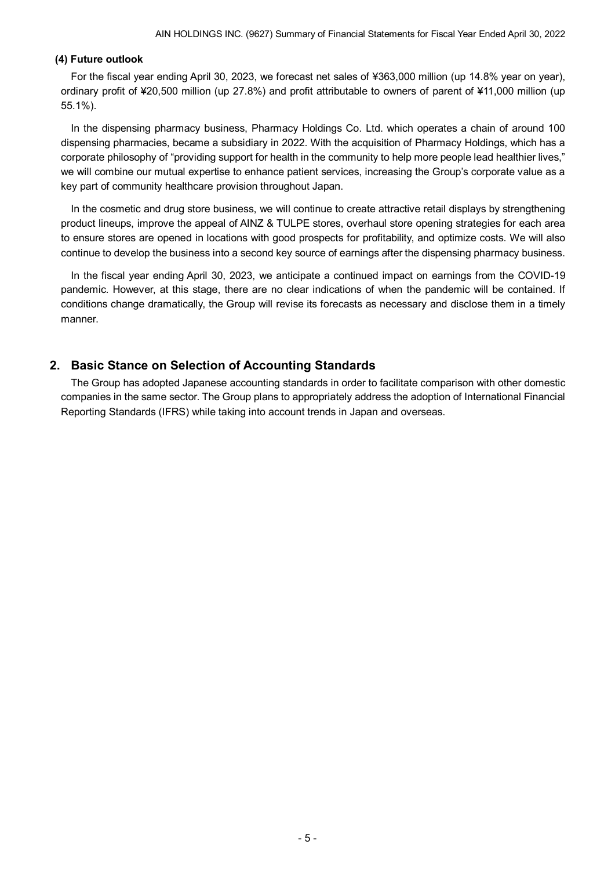## <span id="page-6-0"></span>**(4) Future outlook**

For the fiscal year ending April 30, 2023, we forecast net sales of ¥363,000 million (up 14.8% year on year), ordinary profit of ¥20,500 million (up 27.8%) and profit attributable to owners of parent of ¥11,000 million (up 55.1%).

In the dispensing pharmacy business, Pharmacy Holdings Co. Ltd. which operates a chain of around 100 dispensing pharmacies, became a subsidiary in 2022. With the acquisition of Pharmacy Holdings, which has a corporate philosophy of "providing support for health in the community to help more people lead healthier lives," we will combine our mutual expertise to enhance patient services, increasing the Group's corporate value as a key part of community healthcare provision throughout Japan.

In the cosmetic and drug store business, we will continue to create attractive retail displays by strengthening product lineups, improve the appeal of AINZ & TULPE stores, overhaul store opening strategies for each area to ensure stores are opened in locations with good prospects for profitability, and optimize costs. We will also continue to develop the business into a second key source of earnings after the dispensing pharmacy business.

In the fiscal year ending April 30, 2023, we anticipate a continued impact on earnings from the COVID-19 pandemic. However, at this stage, there are no clear indications of when the pandemic will be contained. If conditions change dramatically, the Group will revise its forecasts as necessary and disclose them in a timely manner.

## <span id="page-6-1"></span>**2. Basic Stance on Selection of Accounting Standards**

The Group has adopted Japanese accounting standards in order to facilitate comparison with other domestic companies in the same sector. The Group plans to appropriately address the adoption of International Financial Reporting Standards (IFRS) while taking into account trends in Japan and overseas.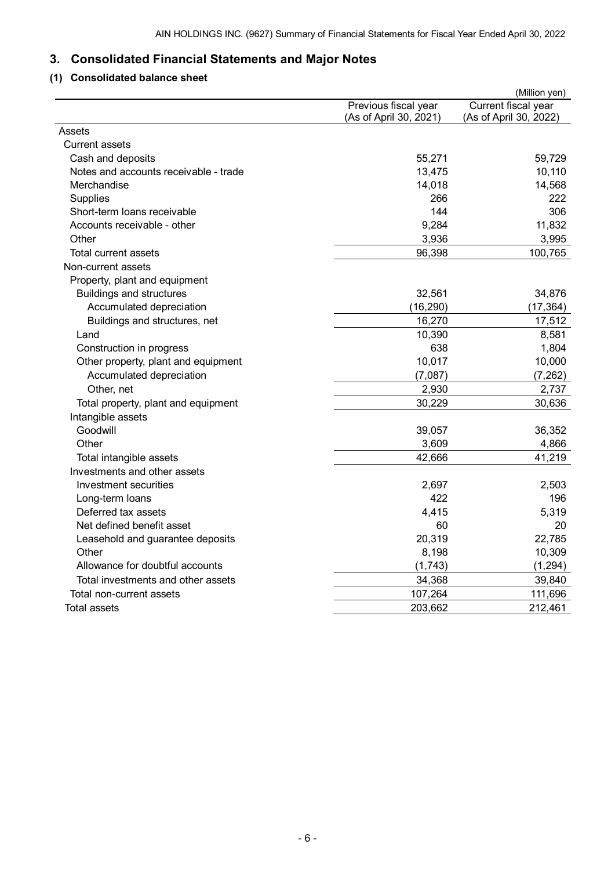# <span id="page-7-0"></span>**3. Consolidated Financial Statements and Major Notes**

## <span id="page-7-1"></span>**(1) Consolidated balance sheet**

|                                       |                                                | (Million yen)                                 |
|---------------------------------------|------------------------------------------------|-----------------------------------------------|
|                                       | Previous fiscal year<br>(As of April 30, 2021) | Current fiscal year<br>(As of April 30, 2022) |
| Assets                                |                                                |                                               |
| <b>Current assets</b>                 |                                                |                                               |
| Cash and deposits                     | 55,271                                         | 59,729                                        |
| Notes and accounts receivable - trade | 13,475                                         | 10,110                                        |
| Merchandise                           | 14,018                                         | 14,568                                        |
| Supplies                              | 266                                            | 222                                           |
| Short-term loans receivable           | 144                                            | 306                                           |
| Accounts receivable - other           | 9,284                                          | 11,832                                        |
| Other                                 | 3,936                                          | 3,995                                         |
| <b>Total current assets</b>           | 96,398                                         | 100,765                                       |
| Non-current assets                    |                                                |                                               |
| Property, plant and equipment         |                                                |                                               |
| <b>Buildings and structures</b>       | 32,561                                         | 34,876                                        |
| Accumulated depreciation              | (16, 290)                                      | (17, 364)                                     |
| Buildings and structures, net         | 16,270                                         | 17,512                                        |
| Land                                  | 10,390                                         | 8,581                                         |
| Construction in progress              | 638                                            | 1,804                                         |
| Other property, plant and equipment   | 10,017                                         | 10,000                                        |
| Accumulated depreciation              | (7,087)                                        | (7, 262)                                      |
| Other, net                            | 2,930                                          | 2,737                                         |
| Total property, plant and equipment   | 30,229                                         | 30,636                                        |
| Intangible assets                     |                                                |                                               |
| Goodwill                              | 39,057                                         | 36,352                                        |
| Other                                 | 3,609                                          | 4,866                                         |
| Total intangible assets               | 42,666                                         | 41,219                                        |
| Investments and other assets          |                                                |                                               |
| Investment securities                 | 2,697                                          | 2,503                                         |
| Long-term loans                       | 422                                            | 196                                           |
| Deferred tax assets                   | 4,415                                          | 5,319                                         |
| Net defined benefit asset             | 60                                             | 20                                            |
| Leasehold and guarantee deposits      | 20,319                                         | 22,785                                        |
| Other                                 | 8,198                                          | 10,309                                        |
| Allowance for doubtful accounts       | (1,743)                                        | (1, 294)                                      |
| Total investments and other assets    | 34,368                                         | 39,840                                        |
| Total non-current assets              | 107,264                                        | 111,696                                       |
| Total assets                          | 203,662                                        | 212,461                                       |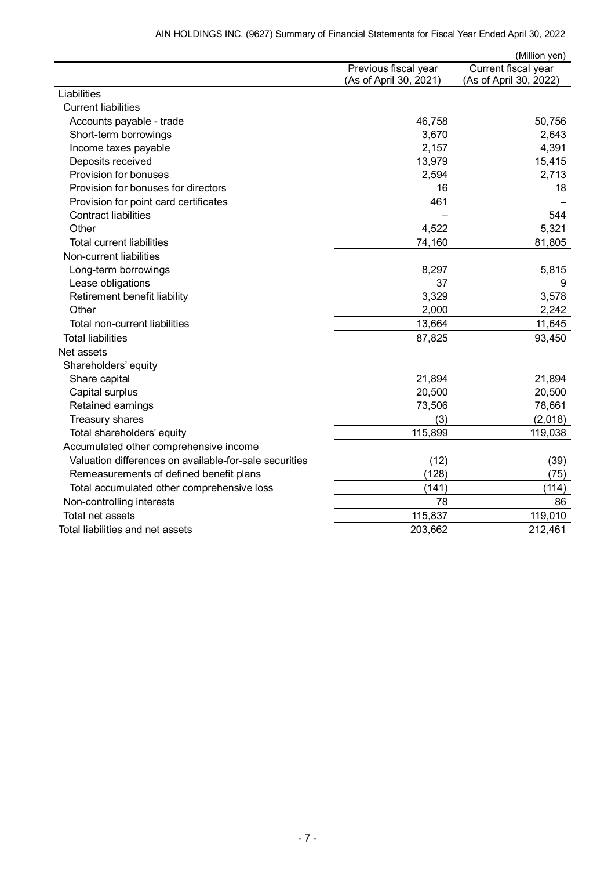|                                                        |                        | (Million yen)          |
|--------------------------------------------------------|------------------------|------------------------|
|                                                        | Previous fiscal year   | Current fiscal year    |
|                                                        | (As of April 30, 2021) | (As of April 30, 2022) |
| Liabilities                                            |                        |                        |
| <b>Current liabilities</b>                             |                        |                        |
| Accounts payable - trade                               | 46,758                 | 50,756                 |
| Short-term borrowings                                  | 3,670                  | 2,643                  |
| Income taxes payable                                   | 2,157                  | 4,391                  |
| Deposits received                                      | 13,979                 | 15,415                 |
| Provision for bonuses                                  | 2,594                  | 2,713                  |
| Provision for bonuses for directors                    | 16                     | 18                     |
| Provision for point card certificates                  | 461                    |                        |
| <b>Contract liabilities</b>                            |                        | 544                    |
| Other                                                  | 4,522                  | 5,321                  |
| <b>Total current liabilities</b>                       | 74,160                 | 81,805                 |
| Non-current liabilities                                |                        |                        |
| Long-term borrowings                                   | 8,297                  | 5,815                  |
| Lease obligations                                      | 37                     | 9                      |
| Retirement benefit liability                           | 3,329                  | 3,578                  |
| Other                                                  | 2,000                  | 2,242                  |
| Total non-current liabilities                          | 13,664                 | 11,645                 |
| <b>Total liabilities</b>                               | 87,825                 | 93,450                 |
| Net assets                                             |                        |                        |
| Shareholders' equity                                   |                        |                        |
| Share capital                                          | 21,894                 | 21,894                 |
| Capital surplus                                        | 20,500                 | 20,500                 |
| Retained earnings                                      | 73,506                 | 78,661                 |
| Treasury shares                                        | (3)                    | (2,018)                |
| Total shareholders' equity                             | 115,899                | 119,038                |
| Accumulated other comprehensive income                 |                        |                        |
| Valuation differences on available-for-sale securities | (12)                   | (39)                   |
| Remeasurements of defined benefit plans                | (128)                  | (75)                   |
| Total accumulated other comprehensive loss             | (141)                  | (114)                  |
| Non-controlling interests                              | 78                     | 86                     |
| Total net assets                                       | 115,837                | 119,010                |
| Total liabilities and net assets                       | 203,662                | 212,461                |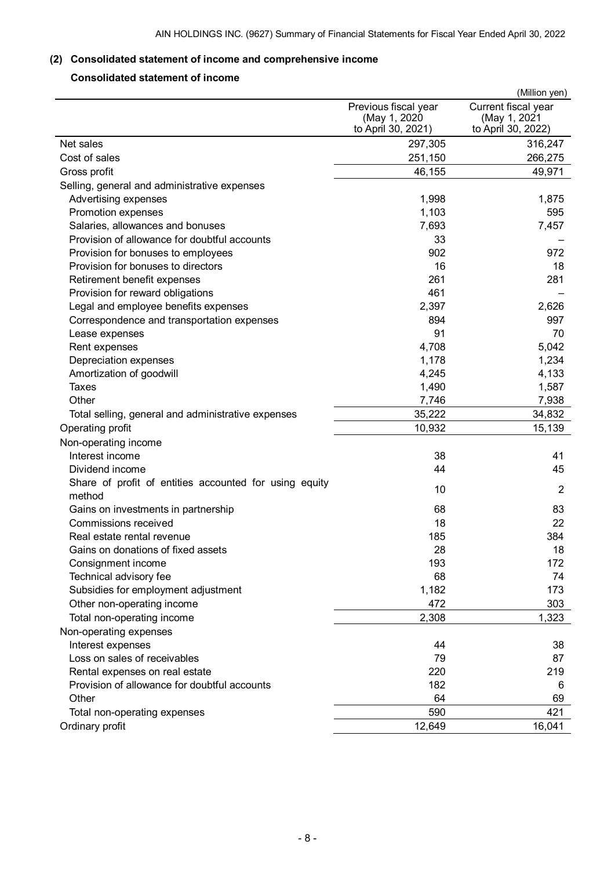## <span id="page-9-0"></span>**(2) Consolidated statement of income and comprehensive income**

## <span id="page-9-1"></span>**Consolidated statement of income**

|                                                                  |                      | (Million yen)       |
|------------------------------------------------------------------|----------------------|---------------------|
|                                                                  | Previous fiscal year | Current fiscal year |
|                                                                  | (May 1, 2020         | (May 1, 2021        |
|                                                                  | to April 30, 2021)   | to April 30, 2022)  |
| Net sales<br>Cost of sales                                       | 297,305              | 316,247             |
|                                                                  | 251,150              | 266,275             |
| Gross profit                                                     | 46,155               | 49,971              |
| Selling, general and administrative expenses                     |                      |                     |
| Advertising expenses                                             | 1,998                | 1,875               |
| Promotion expenses                                               | 1,103                | 595                 |
| Salaries, allowances and bonuses                                 | 7,693<br>33          | 7,457               |
| Provision of allowance for doubtful accounts                     |                      |                     |
| Provision for bonuses to employees                               | 902                  | 972                 |
| Provision for bonuses to directors                               | 16<br>261            | 18                  |
| Retirement benefit expenses                                      |                      | 281                 |
| Provision for reward obligations                                 | 461                  |                     |
| Legal and employee benefits expenses                             | 2,397                | 2,626               |
| Correspondence and transportation expenses                       | 894                  | 997                 |
| Lease expenses                                                   | 91                   | 70                  |
| Rent expenses                                                    | 4,708                | 5,042               |
| Depreciation expenses                                            | 1,178                | 1,234               |
| Amortization of goodwill                                         | 4,245                | 4,133               |
| <b>Taxes</b>                                                     | 1,490                | 1,587               |
| Other                                                            | 7,746                | 7,938               |
| Total selling, general and administrative expenses               | 35,222               | 34,832              |
| Operating profit                                                 | 10,932               | 15,139              |
| Non-operating income                                             |                      |                     |
| Interest income                                                  | 38                   | 41                  |
| Dividend income                                                  | 44                   | 45                  |
| Share of profit of entities accounted for using equity<br>method | 10                   | $\overline{2}$      |
| Gains on investments in partnership                              | 68                   | 83                  |
| Commissions received                                             | 18                   | 22                  |
| Real estate rental revenue                                       | 185                  | 384                 |
| Gains on donations of fixed assets                               | 28                   | 18                  |
| Consignment income                                               | 193                  | 172                 |
| Technical advisory fee                                           | 68                   | 74                  |
| Subsidies for employment adjustment                              | 1,182                | 173                 |
| Other non-operating income                                       | 472                  | 303                 |
| Total non-operating income                                       | 2,308                | 1,323               |
| Non-operating expenses                                           |                      |                     |
| Interest expenses                                                | 44                   | 38                  |
| Loss on sales of receivables                                     | 79                   | 87                  |
| Rental expenses on real estate                                   | 220                  | 219                 |
| Provision of allowance for doubtful accounts                     | 182                  | 6                   |
| Other                                                            | 64                   | 69                  |
| Total non-operating expenses                                     | 590                  | 421                 |
| Ordinary profit                                                  | 12,649               | 16,041              |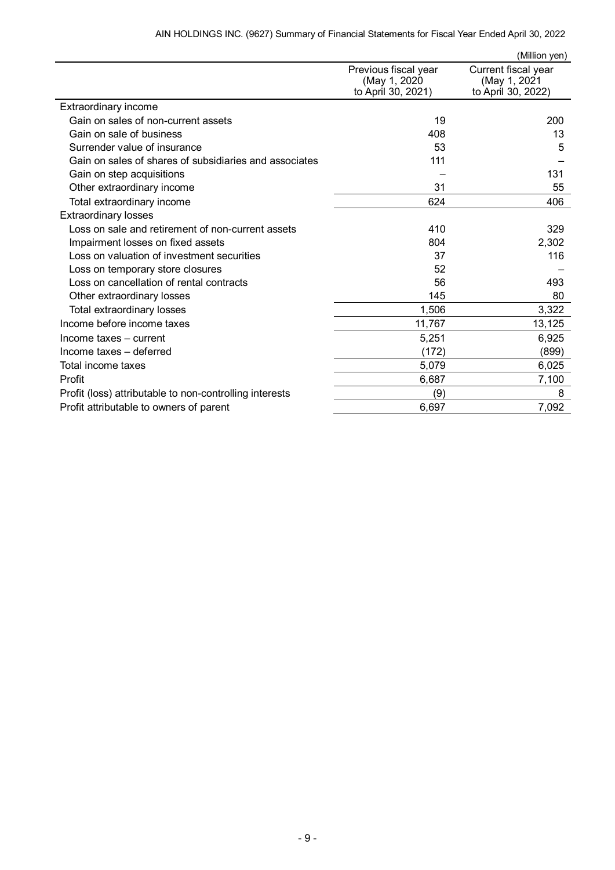| AIN HOLDINGS INC. (9627) Summary of Financial Statements for Fiscal Year Ended April 30, 2022 |  |  |  |  |  |  |  |  |
|-----------------------------------------------------------------------------------------------|--|--|--|--|--|--|--|--|
|-----------------------------------------------------------------------------------------------|--|--|--|--|--|--|--|--|

|                                                         |                                                            | (Million yen)                                             |
|---------------------------------------------------------|------------------------------------------------------------|-----------------------------------------------------------|
|                                                         | Previous fiscal year<br>(May 1, 2020<br>to April 30, 2021) | Current fiscal year<br>(May 1, 2021<br>to April 30, 2022) |
| Extraordinary income                                    |                                                            |                                                           |
| Gain on sales of non-current assets                     | 19                                                         | 200                                                       |
| Gain on sale of business                                | 408                                                        | 13                                                        |
| Surrender value of insurance                            | 53                                                         | 5                                                         |
| Gain on sales of shares of subsidiaries and associates  | 111                                                        |                                                           |
| Gain on step acquisitions                               |                                                            | 131                                                       |
| Other extraordinary income                              | 31                                                         | 55                                                        |
| Total extraordinary income                              | 624                                                        | 406                                                       |
| <b>Extraordinary losses</b>                             |                                                            |                                                           |
| Loss on sale and retirement of non-current assets       | 410                                                        | 329                                                       |
| Impairment losses on fixed assets                       | 804                                                        | 2,302                                                     |
| Loss on valuation of investment securities              | 37                                                         | 116                                                       |
| Loss on temporary store closures                        | 52                                                         |                                                           |
| Loss on cancellation of rental contracts                | 56                                                         | 493                                                       |
| Other extraordinary losses                              | 145                                                        | 80                                                        |
| Total extraordinary losses                              | 1,506                                                      | 3,322                                                     |
| Income before income taxes                              | 11,767                                                     | 13,125                                                    |
| Income taxes - current                                  | 5,251                                                      | 6,925                                                     |
| Income taxes - deferred                                 | (172)                                                      | (899)                                                     |
| Total income taxes                                      | 5,079                                                      | 6,025                                                     |
| Profit                                                  | 6,687                                                      | 7,100                                                     |
| Profit (loss) attributable to non-controlling interests | (9)                                                        | 8                                                         |
| Profit attributable to owners of parent                 | 6,697                                                      | 7,092                                                     |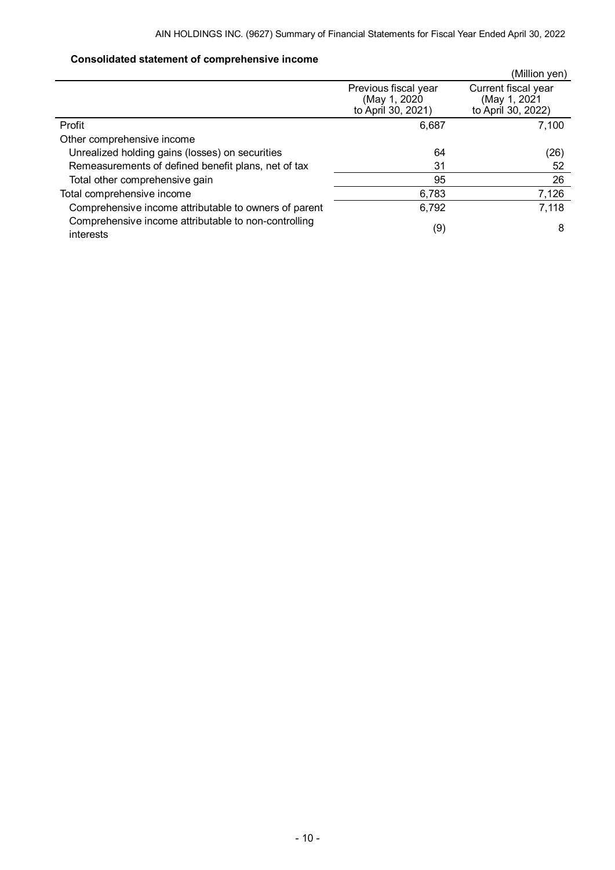## <span id="page-11-0"></span>**Consolidated statement of comprehensive income**

|                                                                   |                                                            | (Million yen)                                             |
|-------------------------------------------------------------------|------------------------------------------------------------|-----------------------------------------------------------|
|                                                                   | Previous fiscal year<br>(May 1, 2020<br>to April 30, 2021) | Current fiscal year<br>(May 1, 2021<br>to April 30, 2022) |
| Profit                                                            | 6,687                                                      | 7,100                                                     |
| Other comprehensive income                                        |                                                            |                                                           |
| Unrealized holding gains (losses) on securities                   | 64                                                         | (26)                                                      |
| Remeasurements of defined benefit plans, net of tax               | 31                                                         | 52                                                        |
| Total other comprehensive gain                                    | 95                                                         | 26                                                        |
| Total comprehensive income                                        | 6,783                                                      | 7,126                                                     |
| Comprehensive income attributable to owners of parent             | 6,792                                                      | 7,118                                                     |
| Comprehensive income attributable to non-controlling<br>interests | (9)                                                        | 8                                                         |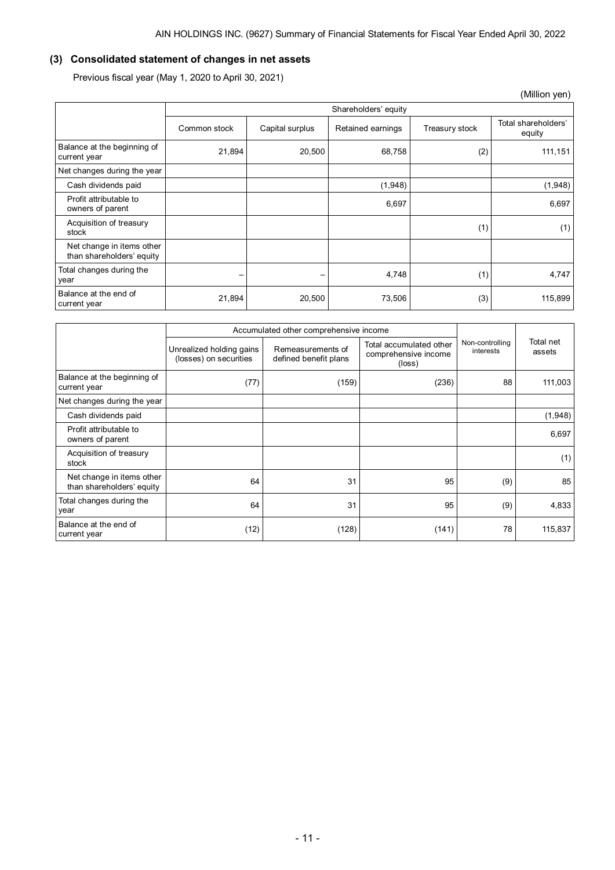## <span id="page-12-0"></span>**(3) Consolidated statement of changes in net assets**

Previous fiscal year (May 1, 2020 to April 30, 2021)

|                                                        |                          |                          |                   |                | (Million yen)                 |  |  |  |
|--------------------------------------------------------|--------------------------|--------------------------|-------------------|----------------|-------------------------------|--|--|--|
|                                                        |                          | Shareholders' equity     |                   |                |                               |  |  |  |
|                                                        | Common stock             | Capital surplus          | Retained earnings | Treasury stock | Total shareholders'<br>equity |  |  |  |
| Balance at the beginning of<br>current year            | 21,894                   | 20,500                   | 68,758            | (2)            | 111,151                       |  |  |  |
| Net changes during the year                            |                          |                          |                   |                |                               |  |  |  |
| Cash dividends paid                                    |                          |                          | (1,948)           |                | (1,948)                       |  |  |  |
| Profit attributable to<br>owners of parent             |                          |                          | 6,697             |                | 6,697                         |  |  |  |
| Acquisition of treasury<br>stock                       |                          |                          |                   | (1)            | (1)                           |  |  |  |
| Net change in items other<br>than shareholders' equity |                          |                          |                   |                |                               |  |  |  |
| Total changes during the<br>year                       | $\overline{\phantom{m}}$ | $\overline{\phantom{m}}$ | 4,748             | (1)            | 4,747                         |  |  |  |
| Balance at the end of<br>current year                  | 21,894                   | 20,500                   | 73,506            | (3)            | 115,899                       |  |  |  |

|                                                        | Accumulated other comprehensive income             |                                            |                                                           |                              |                     |
|--------------------------------------------------------|----------------------------------------------------|--------------------------------------------|-----------------------------------------------------------|------------------------------|---------------------|
|                                                        | Unrealized holding gains<br>(losses) on securities | Remeasurements of<br>defined benefit plans | Total accumulated other<br>comprehensive income<br>(loss) | Non-controlling<br>interests | Total net<br>assets |
| Balance at the beginning of<br>current year            | (77)                                               | (159)                                      | (236)                                                     | 88                           | 111,003             |
| Net changes during the year                            |                                                    |                                            |                                                           |                              |                     |
| Cash dividends paid                                    |                                                    |                                            |                                                           |                              | (1,948)             |
| Profit attributable to<br>owners of parent             |                                                    |                                            |                                                           |                              | 6,697               |
| Acquisition of treasury<br>stock                       |                                                    |                                            |                                                           |                              | (1)                 |
| Net change in items other<br>than shareholders' equity | 64                                                 | 31                                         | 95                                                        | (9)                          | 85                  |
| Total changes during the<br>year                       | 64                                                 | 31                                         | 95                                                        | (9)                          | 4,833               |
| Balance at the end of<br>current year                  | (12)                                               | (128)                                      | (141)                                                     | 78                           | 115,837             |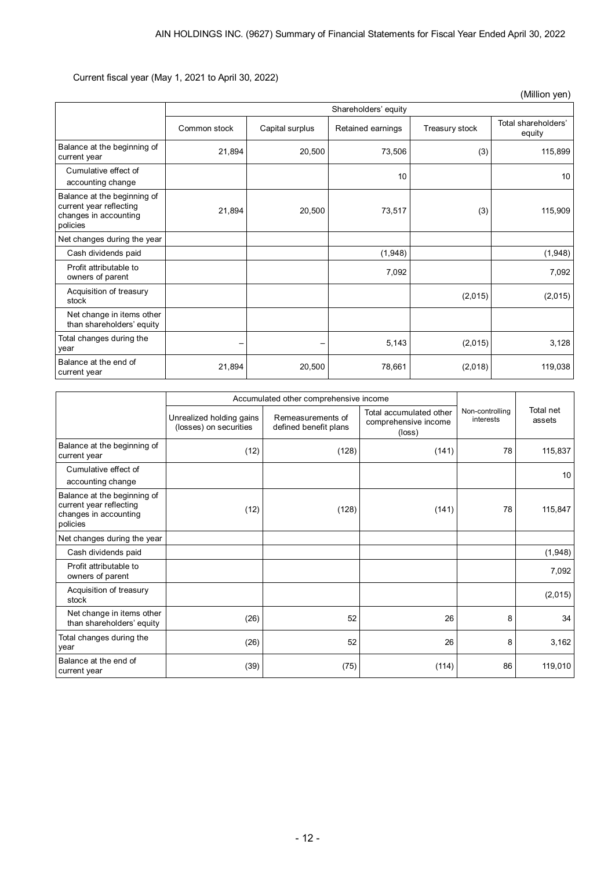Current fiscal year (May 1, 2021 to April 30, 2022)

|                                                                                             |              |                      |                   |                | (Million yen)                 |  |  |
|---------------------------------------------------------------------------------------------|--------------|----------------------|-------------------|----------------|-------------------------------|--|--|
|                                                                                             |              | Shareholders' equity |                   |                |                               |  |  |
|                                                                                             | Common stock | Capital surplus      | Retained earnings | Treasury stock | Total shareholders'<br>equity |  |  |
| Balance at the beginning of<br>current year                                                 | 21,894       | 20,500               | 73,506            | (3)            | 115,899                       |  |  |
| Cumulative effect of<br>accounting change                                                   |              |                      | 10                |                | 10 <sup>1</sup>               |  |  |
| Balance at the beginning of<br>current year reflecting<br>changes in accounting<br>policies | 21,894       | 20,500               | 73,517            | (3)            | 115,909                       |  |  |
| Net changes during the year                                                                 |              |                      |                   |                |                               |  |  |
| Cash dividends paid                                                                         |              |                      | (1,948)           |                | (1,948)                       |  |  |
| Profit attributable to<br>owners of parent                                                  |              |                      | 7,092             |                | 7,092                         |  |  |
| Acquisition of treasury<br>stock                                                            |              |                      |                   | (2,015)        | (2,015)                       |  |  |
| Net change in items other<br>than shareholders' equity                                      |              |                      |                   |                |                               |  |  |
| Total changes during the<br>year                                                            |              |                      | 5,143             | (2,015)        | 3,128                         |  |  |
| Balance at the end of<br>current year                                                       | 21,894       | 20,500               | 78,661            | (2,018)        | 119,038                       |  |  |

|                                                                                             | Accumulated other comprehensive income             |                                            |                                                                    |                              |                     |
|---------------------------------------------------------------------------------------------|----------------------------------------------------|--------------------------------------------|--------------------------------------------------------------------|------------------------------|---------------------|
|                                                                                             | Unrealized holding gains<br>(losses) on securities | Remeasurements of<br>defined benefit plans | Total accumulated other<br>comprehensive income<br>$(\text{loss})$ | Non-controlling<br>interests | Total net<br>assets |
| Balance at the beginning of<br>current year                                                 | (12)                                               | (128)                                      | (141)                                                              | 78                           | 115,837             |
| Cumulative effect of<br>accounting change                                                   |                                                    |                                            |                                                                    |                              | 10 <sup>1</sup>     |
| Balance at the beginning of<br>current year reflecting<br>changes in accounting<br>policies | (12)                                               | (128)                                      | (141)                                                              | 78                           | 115,847             |
| Net changes during the year                                                                 |                                                    |                                            |                                                                    |                              |                     |
| Cash dividends paid                                                                         |                                                    |                                            |                                                                    |                              | (1,948)             |
| Profit attributable to<br>owners of parent                                                  |                                                    |                                            |                                                                    |                              | 7,092               |
| Acquisition of treasury<br>stock                                                            |                                                    |                                            |                                                                    |                              | (2,015)             |
| Net change in items other<br>than shareholders' equity                                      | (26)                                               | 52                                         | 26                                                                 | 8                            | 34                  |
| Total changes during the<br>year                                                            | (26)                                               | 52                                         | 26                                                                 | 8                            | 3,162               |
| Balance at the end of<br>current year                                                       | (39)                                               | (75)                                       | (114)                                                              | 86                           | 119,010             |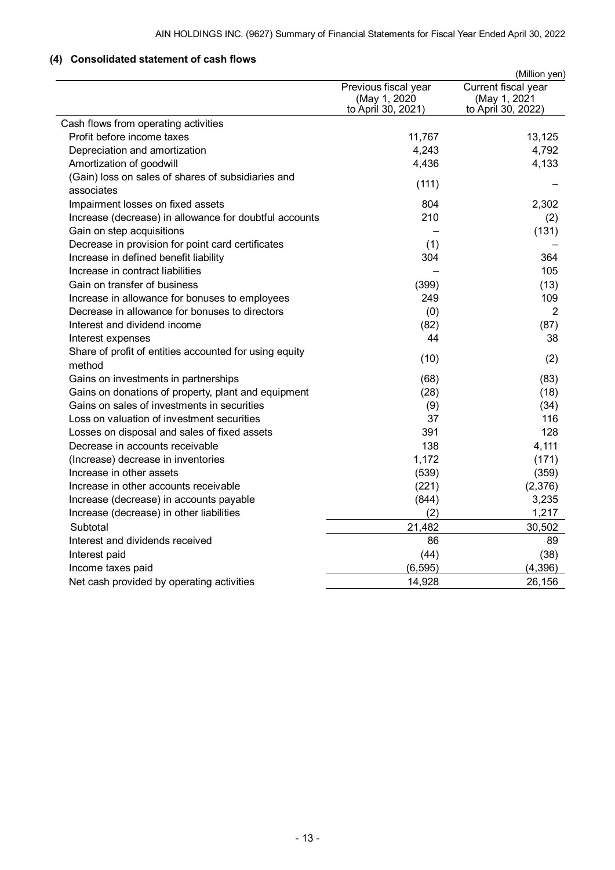## <span id="page-14-0"></span>**(4) Consolidated statement of cash flows**

|                                                        |                                                            | (Million yen)                                             |
|--------------------------------------------------------|------------------------------------------------------------|-----------------------------------------------------------|
|                                                        | Previous fiscal year<br>(May 1, 2020<br>to April 30, 2021) | Current fiscal year<br>(May 1, 2021<br>to April 30, 2022) |
| Cash flows from operating activities                   |                                                            |                                                           |
| Profit before income taxes                             | 11,767                                                     | 13,125                                                    |
| Depreciation and amortization                          | 4,243                                                      | 4,792                                                     |
| Amortization of goodwill                               | 4,436                                                      | 4,133                                                     |
| (Gain) loss on sales of shares of subsidiaries and     |                                                            |                                                           |
| associates                                             | (111)                                                      |                                                           |
| Impairment losses on fixed assets                      | 804                                                        | 2,302                                                     |
| Increase (decrease) in allowance for doubtful accounts | 210                                                        | (2)                                                       |
| Gain on step acquisitions                              |                                                            | (131)                                                     |
| Decrease in provision for point card certificates      | (1)                                                        |                                                           |
| Increase in defined benefit liability                  | 304                                                        | 364                                                       |
| Increase in contract liabilities                       |                                                            | 105                                                       |
| Gain on transfer of business                           | (399)                                                      | (13)                                                      |
| Increase in allowance for bonuses to employees         | 249                                                        | 109                                                       |
| Decrease in allowance for bonuses to directors         | (0)                                                        | $\overline{2}$                                            |
| Interest and dividend income                           | (82)                                                       | (87)                                                      |
| Interest expenses                                      | 44                                                         | 38                                                        |
| Share of profit of entities accounted for using equity |                                                            |                                                           |
| method                                                 | (10)                                                       | (2)                                                       |
| Gains on investments in partnerships                   | (68)                                                       | (83)                                                      |
| Gains on donations of property, plant and equipment    | (28)                                                       | (18)                                                      |
| Gains on sales of investments in securities            | (9)                                                        | (34)                                                      |
| Loss on valuation of investment securities             | 37                                                         | 116                                                       |
| Losses on disposal and sales of fixed assets           | 391                                                        | 128                                                       |
| Decrease in accounts receivable                        | 138                                                        | 4,111                                                     |
| (Increase) decrease in inventories                     | 1,172                                                      | (171)                                                     |
| Increase in other assets                               | (539)                                                      | (359)                                                     |
| Increase in other accounts receivable                  | (221)                                                      | (2,376)                                                   |
| Increase (decrease) in accounts payable                | (844)                                                      | 3,235                                                     |
| Increase (decrease) in other liabilities               | (2)                                                        | 1,217                                                     |
| Subtotal                                               | 21,482                                                     | 30,502                                                    |
| Interest and dividends received                        | 86                                                         | 89                                                        |
| Interest paid                                          | (44)                                                       | (38)                                                      |
| Income taxes paid                                      | (6, 595)                                                   | (4, 396)                                                  |
| Net cash provided by operating activities              | 14,928                                                     | 26,156                                                    |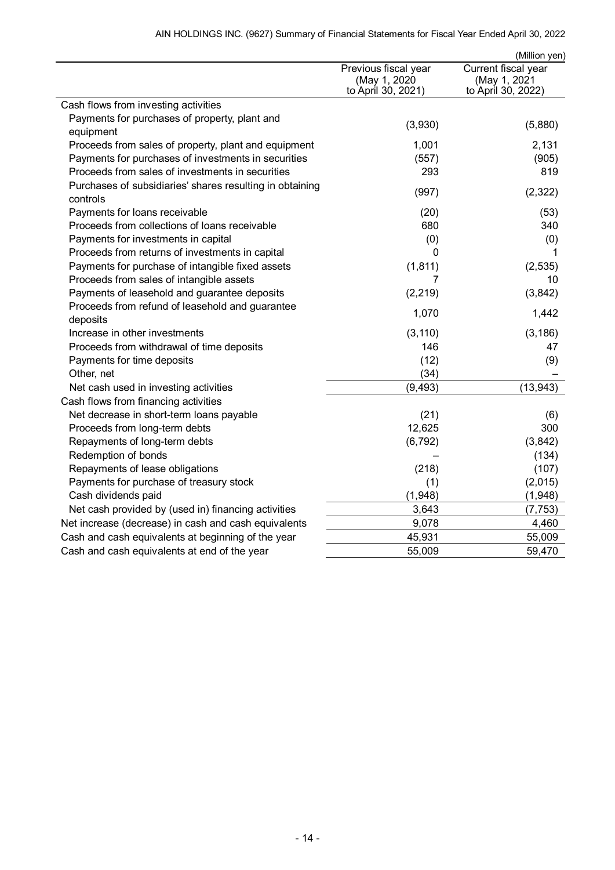|                                                                      |                                                            | (Million yen)                                             |
|----------------------------------------------------------------------|------------------------------------------------------------|-----------------------------------------------------------|
|                                                                      | Previous fiscal year<br>(May 1, 2020<br>to April 30, 2021) | Current fiscal year<br>(May 1, 2021<br>to April 30, 2022) |
| Cash flows from investing activities                                 |                                                            |                                                           |
| Payments for purchases of property, plant and<br>equipment           | (3,930)                                                    | (5,880)                                                   |
| Proceeds from sales of property, plant and equipment                 | 1,001                                                      | 2,131                                                     |
| Payments for purchases of investments in securities                  | (557)                                                      | (905)                                                     |
| Proceeds from sales of investments in securities                     | 293                                                        | 819                                                       |
| Purchases of subsidiaries' shares resulting in obtaining<br>controls | (997)                                                      | (2,322)                                                   |
| Payments for loans receivable                                        | (20)                                                       | (53)                                                      |
| Proceeds from collections of loans receivable                        | 680                                                        | 340                                                       |
| Payments for investments in capital                                  | (0)                                                        | (0)                                                       |
| Proceeds from returns of investments in capital                      | 0                                                          | 1                                                         |
| Payments for purchase of intangible fixed assets                     | (1, 811)                                                   | (2, 535)                                                  |
| Proceeds from sales of intangible assets                             | 7                                                          | 10                                                        |
| Payments of leasehold and guarantee deposits                         | (2, 219)                                                   | (3,842)                                                   |
| Proceeds from refund of leasehold and guarantee<br>deposits          | 1,070                                                      | 1,442                                                     |
| Increase in other investments                                        | (3, 110)                                                   | (3, 186)                                                  |
| Proceeds from withdrawal of time deposits                            | 146                                                        | 47                                                        |
| Payments for time deposits                                           | (12)                                                       | (9)                                                       |
| Other, net                                                           | (34)                                                       |                                                           |
| Net cash used in investing activities                                | (9, 493)                                                   | (13, 943)                                                 |
| Cash flows from financing activities                                 |                                                            |                                                           |
| Net decrease in short-term loans payable                             | (21)                                                       | (6)                                                       |
| Proceeds from long-term debts                                        | 12,625                                                     | 300                                                       |
| Repayments of long-term debts                                        | (6, 792)                                                   | (3,842)                                                   |
| Redemption of bonds                                                  |                                                            | (134)                                                     |
| Repayments of lease obligations                                      | (218)                                                      | (107)                                                     |
| Payments for purchase of treasury stock                              | (1)                                                        | (2,015)                                                   |
| Cash dividends paid                                                  | (1,948)                                                    | (1,948)                                                   |
| Net cash provided by (used in) financing activities                  | 3,643                                                      | (7, 753)                                                  |
| Net increase (decrease) in cash and cash equivalents                 | 9,078                                                      | 4,460                                                     |
| Cash and cash equivalents at beginning of the year                   | 45,931                                                     | 55,009                                                    |
| Cash and cash equivalents at end of the year                         | 55,009                                                     | 59,470                                                    |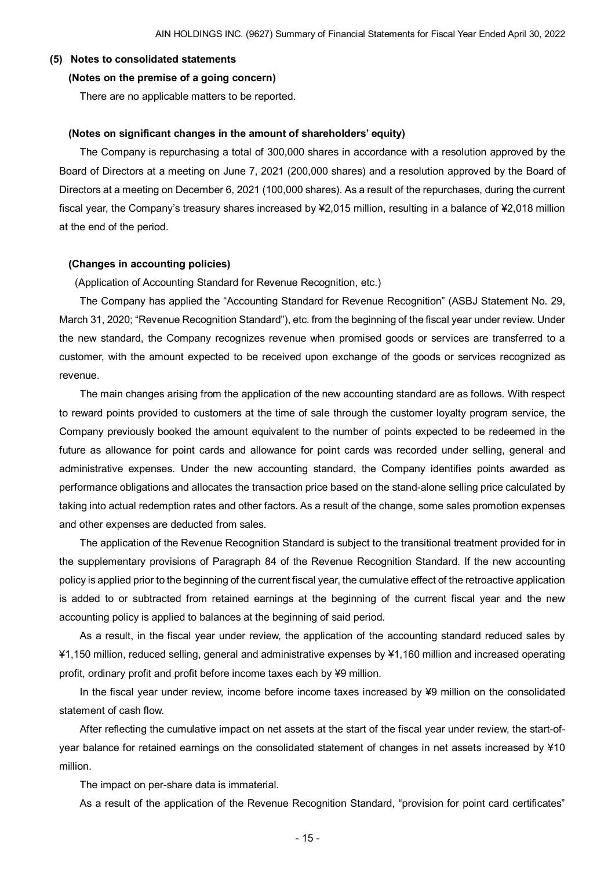#### <span id="page-16-1"></span><span id="page-16-0"></span>**(5) Notes to consolidated statements**

#### **(Notes on the premise of a going concern)**

There are no applicable matters to be reported.

#### <span id="page-16-2"></span>**(Notes on significant changes in the amount of shareholders' equity)**

The Company is repurchasing a total of 300,000 shares in accordance with a resolution approved by the Board of Directors at a meeting on June 7, 2021 (200,000 shares) and a resolution approved by the Board of Directors at a meeting on December 6, 2021 (100,000 shares). As a result of the repurchases, during the current fiscal year, the Company's treasury shares increased by ¥2,015 million, resulting in a balance of ¥2,018 million at the end of the period.

#### <span id="page-16-3"></span>**(Changes in accounting policies)**

(Application of Accounting Standard for Revenue Recognition, etc.)

The Company has applied the "Accounting Standard for Revenue Recognition" (ASBJ Statement No. 29, March 31, 2020; "Revenue Recognition Standard"), etc. from the beginning of the fiscal year under review. Under the new standard, the Company recognizes revenue when promised goods or services are transferred to a customer, with the amount expected to be received upon exchange of the goods or services recognized as revenue.

The main changes arising from the application of the new accounting standard are as follows. With respect to reward points provided to customers at the time of sale through the customer loyalty program service, the Company previously booked the amount equivalent to the number of points expected to be redeemed in the future as allowance for point cards and allowance for point cards was recorded under selling, general and administrative expenses. Under the new accounting standard, the Company identifies points awarded as performance obligations and allocates the transaction price based on the stand-alone selling price calculated by taking into actual redemption rates and other factors. As a result of the change, some sales promotion expenses and other expenses are deducted from sales.

The application of the Revenue Recognition Standard is subject to the transitional treatment provided for in the supplementary provisions of Paragraph 84 of the Revenue Recognition Standard. If the new accounting policy is applied prior to the beginning of the current fiscal year, the cumulative effect of the retroactive application is added to or subtracted from retained earnings at the beginning of the current fiscal year and the new accounting policy is applied to balances at the beginning of said period.

As a result, in the fiscal year under review, the application of the accounting standard reduced sales by ¥1,150 million, reduced selling, general and administrative expenses by ¥1,160 million and increased operating profit, ordinary profit and profit before income taxes each by ¥9 million.

In the fiscal year under review, income before income taxes increased by ¥9 million on the consolidated statement of cash flow.

After reflecting the cumulative impact on net assets at the start of the fiscal year under review, the start-ofyear balance for retained earnings on the consolidated statement of changes in net assets increased by ¥10 million.

The impact on per-share data is immaterial.

As a result of the application of the Revenue Recognition Standard, "provision for point card certificates"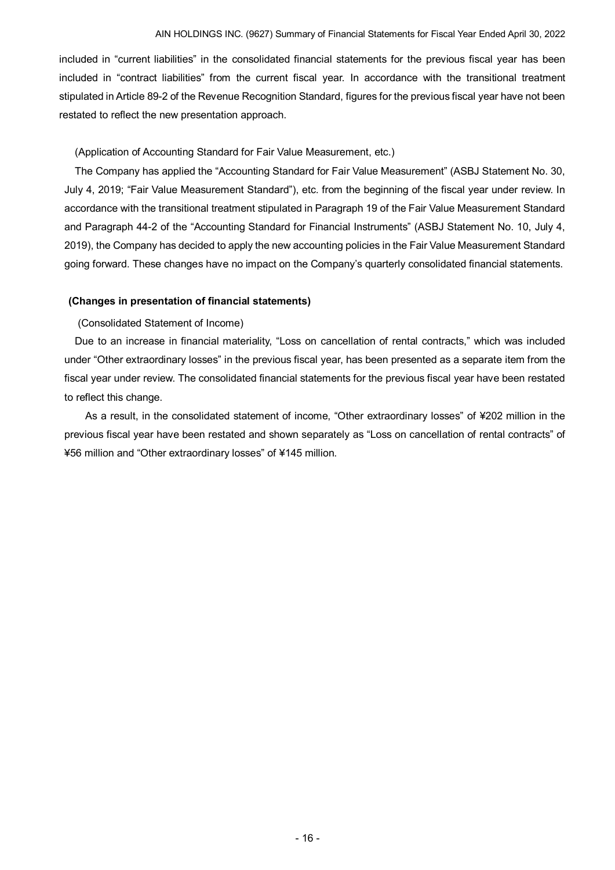included in "current liabilities" in the consolidated financial statements for the previous fiscal year has been included in "contract liabilities" from the current fiscal year. In accordance with the transitional treatment stipulated in Article 89-2 of the Revenue Recognition Standard, figures for the previous fiscal year have not been restated to reflect the new presentation approach.

## (Application of Accounting Standard for Fair Value Measurement, etc.)

The Company has applied the "Accounting Standard for Fair Value Measurement" (ASBJ Statement No. 30, July 4, 2019; "Fair Value Measurement Standard"), etc. from the beginning of the fiscal year under review. In accordance with the transitional treatment stipulated in Paragraph 19 of the Fair Value Measurement Standard and Paragraph 44-2 of the "Accounting Standard for Financial Instruments" (ASBJ Statement No. 10, July 4, 2019), the Company has decided to apply the new accounting policies in the Fair Value Measurement Standard going forward. These changes have no impact on the Company's quarterly consolidated financial statements.

## <span id="page-17-0"></span>**(Changes in presentation of financial statements)**

(Consolidated Statement of Income)

Due to an increase in financial materiality, "Loss on cancellation of rental contracts," which was included under "Other extraordinary losses" in the previous fiscal year, has been presented as a separate item from the fiscal year under review. The consolidated financial statements for the previous fiscal year have been restated to reflect this change.

As a result, in the consolidated statement of income, "Other extraordinary losses" of ¥202 million in the previous fiscal year have been restated and shown separately as "Loss on cancellation of rental contracts" of ¥56 million and "Other extraordinary losses" of ¥145 million.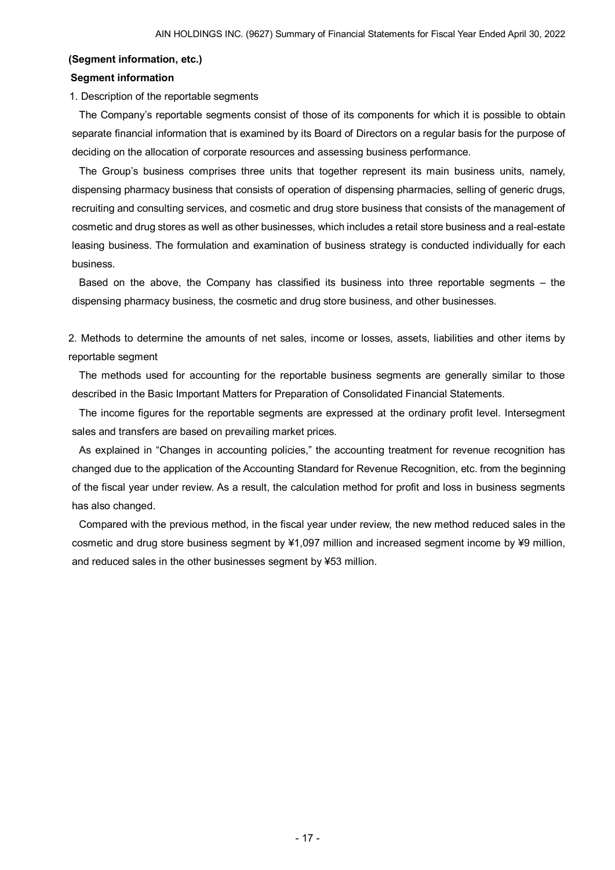#### <span id="page-18-0"></span>**(Segment information, etc.)**

#### **Segment information**

1. Description of the reportable segments

The Company's reportable segments consist of those of its components for which it is possible to obtain separate financial information that is examined by its Board of Directors on a regular basis for the purpose of deciding on the allocation of corporate resources and assessing business performance.

The Group's business comprises three units that together represent its main business units, namely, dispensing pharmacy business that consists of operation of dispensing pharmacies, selling of generic drugs, recruiting and consulting services, and cosmetic and drug store business that consists of the management of cosmetic and drug stores as well as other businesses, which includes a retail store business and a real-estate leasing business. The formulation and examination of business strategy is conducted individually for each business.

Based on the above, the Company has classified its business into three reportable segments – the dispensing pharmacy business, the cosmetic and drug store business, and other businesses.

2. Methods to determine the amounts of net sales, income or losses, assets, liabilities and other items by reportable segment

The methods used for accounting for the reportable business segments are generally similar to those described in the Basic Important Matters for Preparation of Consolidated Financial Statements.

The income figures for the reportable segments are expressed at the ordinary profit level. Intersegment sales and transfers are based on prevailing market prices.

As explained in "Changes in accounting policies," the accounting treatment for revenue recognition has changed due to the application of the Accounting Standard for Revenue Recognition, etc. from the beginning of the fiscal year under review. As a result, the calculation method for profit and loss in business segments has also changed.

Compared with the previous method, in the fiscal year under review, the new method reduced sales in the cosmetic and drug store business segment by ¥1,097 million and increased segment income by ¥9 million, and reduced sales in the other businesses segment by ¥53 million.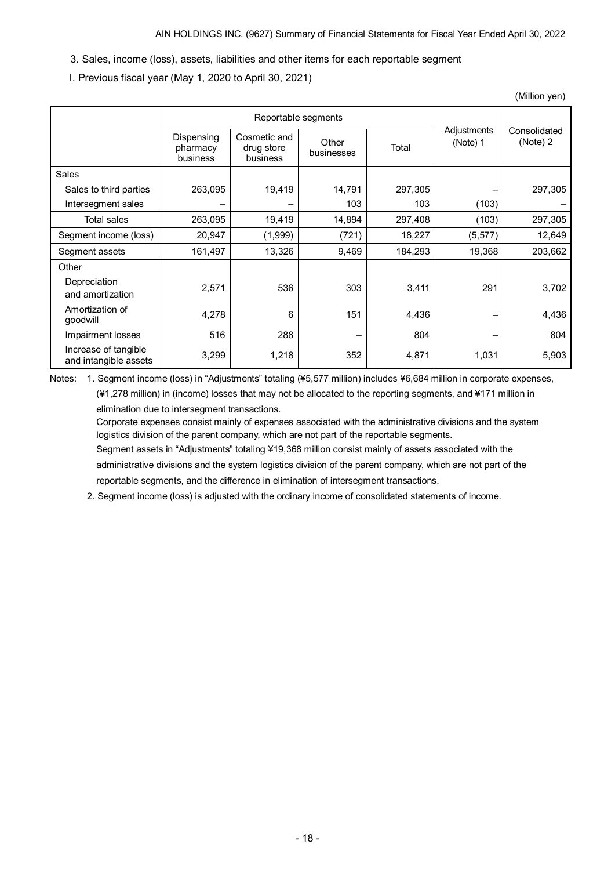- 3. Sales, income (loss), assets, liabilities and other items for each reportable segment
- I. Previous fiscal year (May 1, 2020 to April 30, 2021)

|                                               |                                    |                                        |                     |         |                         | (Million yen)            |
|-----------------------------------------------|------------------------------------|----------------------------------------|---------------------|---------|-------------------------|--------------------------|
|                                               | Reportable segments                |                                        |                     |         |                         |                          |
|                                               | Dispensing<br>pharmacy<br>business | Cosmetic and<br>drug store<br>business | Other<br>businesses | Total   | Adjustments<br>(Note) 1 | Consolidated<br>(Note) 2 |
| Sales                                         |                                    |                                        |                     |         |                         |                          |
| Sales to third parties                        | 263,095                            | 19,419                                 | 14,791              | 297,305 |                         | 297,305                  |
| Intersegment sales                            |                                    |                                        | 103                 | 103     | (103)                   |                          |
| <b>Total sales</b>                            | 263,095                            | 19,419                                 | 14,894              | 297,408 | (103)                   | 297,305                  |
| Segment income (loss)                         | 20,947                             | (1,999)                                | (721)               | 18,227  | (5, 577)                | 12,649                   |
| Segment assets                                | 161,497                            | 13,326                                 | 9,469               | 184,293 | 19,368                  | 203,662                  |
| Other                                         |                                    |                                        |                     |         |                         |                          |
| Depreciation<br>and amortization              | 2,571                              | 536                                    | 303                 | 3,411   | 291                     | 3,702                    |
| Amortization of<br>goodwill                   | 4,278                              | 6                                      | 151                 | 4,436   |                         | 4,436                    |
| Impairment losses                             | 516                                | 288                                    |                     | 804     |                         | 804                      |
| Increase of tangible<br>and intangible assets | 3,299                              | 1,218                                  | 352                 | 4,871   | 1,031                   | 5,903                    |

Notes: 1. Segment income (loss) in "Adjustments" totaling (¥5,577 million) includes ¥6,684 million in corporate expenses, (¥1,278 million) in (income) losses that may not be allocated to the reporting segments, and ¥171 million in elimination due to intersegment transactions.

Corporate expenses consist mainly of expenses associated with the administrative divisions and the system logistics division of the parent company, which are not part of the reportable segments.

Segment assets in "Adjustments" totaling ¥19,368 million consist mainly of assets associated with the administrative divisions and the system logistics division of the parent company, which are not part of the reportable segments, and the difference in elimination of intersegment transactions.

2. Segment income (loss) is adjusted with the ordinary income of consolidated statements of income.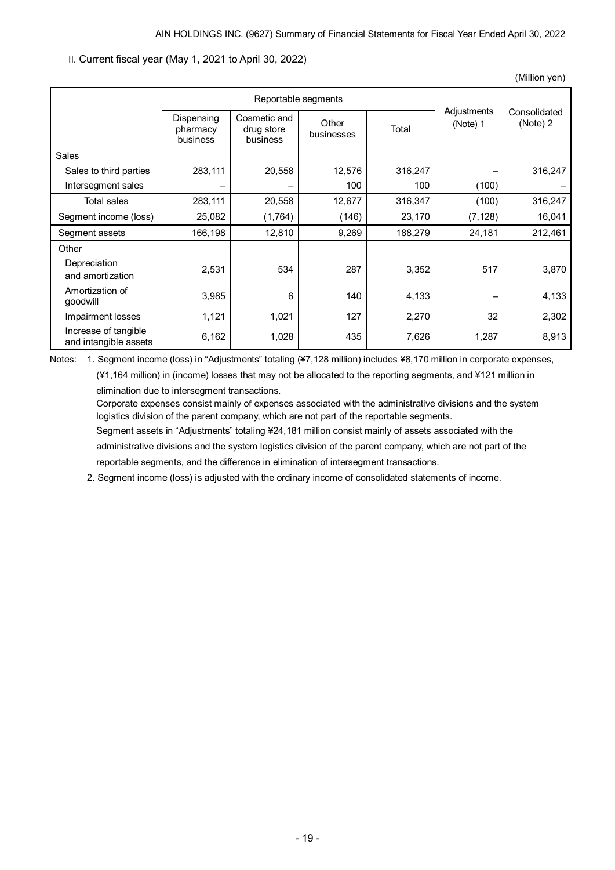(Million yen)

II. Current fiscal year (May 1, 2021 to April 30, 2022)

|                                               |                                    | Reportable segments                    |                     |         |                         |                          |
|-----------------------------------------------|------------------------------------|----------------------------------------|---------------------|---------|-------------------------|--------------------------|
|                                               | Dispensing<br>pharmacy<br>business | Cosmetic and<br>drug store<br>business | Other<br>businesses | Total   | Adjustments<br>(Note) 1 | Consolidated<br>(Note) 2 |
| <b>Sales</b>                                  |                                    |                                        |                     |         |                         |                          |
| Sales to third parties                        | 283,111                            | 20,558                                 | 12,576              | 316,247 |                         | 316,247                  |
| Intersegment sales                            |                                    |                                        | 100                 | 100     | (100)                   |                          |
| Total sales                                   | 283,111                            | 20,558                                 | 12,677              | 316,347 | (100)                   | 316,247                  |
| Segment income (loss)                         | 25,082                             | (1,764)                                | (146)               | 23,170  | (7, 128)                | 16,041                   |
| Segment assets                                | 166,198                            | 12,810                                 | 9,269               | 188,279 | 24,181                  | 212,461                  |
| Other                                         |                                    |                                        |                     |         |                         |                          |
| Depreciation<br>and amortization              | 2,531                              | 534                                    | 287                 | 3,352   | 517                     | 3,870                    |
| Amortization of<br>qoodwill                   | 3,985                              | 6                                      | 140                 | 4,133   |                         | 4,133                    |
| Impairment losses                             | 1,121                              | 1,021                                  | 127                 | 2,270   | 32                      | 2,302                    |
| Increase of tangible<br>and intangible assets | 6,162                              | 1,028                                  | 435                 | 7,626   | 1,287                   | 8,913                    |

Notes: 1. Segment income (loss) in "Adjustments" totaling (¥7,128 million) includes ¥8,170 million in corporate expenses, (¥1,164 million) in (income) losses that may not be allocated to the reporting segments, and ¥121 million in

elimination due to intersegment transactions.

Corporate expenses consist mainly of expenses associated with the administrative divisions and the system logistics division of the parent company, which are not part of the reportable segments.

Segment assets in "Adjustments" totaling ¥24,181 million consist mainly of assets associated with the administrative divisions and the system logistics division of the parent company, which are not part of the reportable segments, and the difference in elimination of intersegment transactions.

2. Segment income (loss) is adjusted with the ordinary income of consolidated statements of income.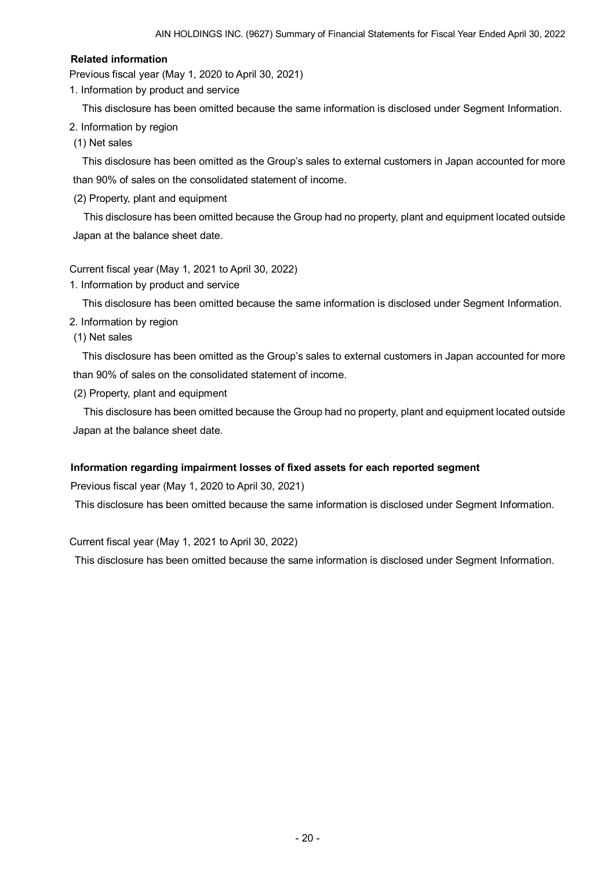### **Related information**

Previous fiscal year (May 1, 2020 to April 30, 2021)

1. Information by product and service

This disclosure has been omitted because the same information is disclosed under Segment Information.

2. Information by region

(1) Net sales

This disclosure has been omitted as the Group's sales to external customers in Japan accounted for more than 90% of sales on the consolidated statement of income.

(2) Property, plant and equipment

This disclosure has been omitted because the Group had no property, plant and equipment located outside Japan at the balance sheet date.

Current fiscal year (May 1, 2021 to April 30, 2022)

1. Information by product and service

This disclosure has been omitted because the same information is disclosed under Segment Information.

2. Information by region

(1) Net sales

This disclosure has been omitted as the Group's sales to external customers in Japan accounted for more than 90% of sales on the consolidated statement of income.

(2) Property, plant and equipment

This disclosure has been omitted because the Group had no property, plant and equipment located outside Japan at the balance sheet date.

## **Information regarding impairment losses of fixed assets for each reported segment**

Previous fiscal year (May 1, 2020 to April 30, 2021)

This disclosure has been omitted because the same information is disclosed under Segment Information.

Current fiscal year (May 1, 2021 to April 30, 2022)

This disclosure has been omitted because the same information is disclosed under Segment Information.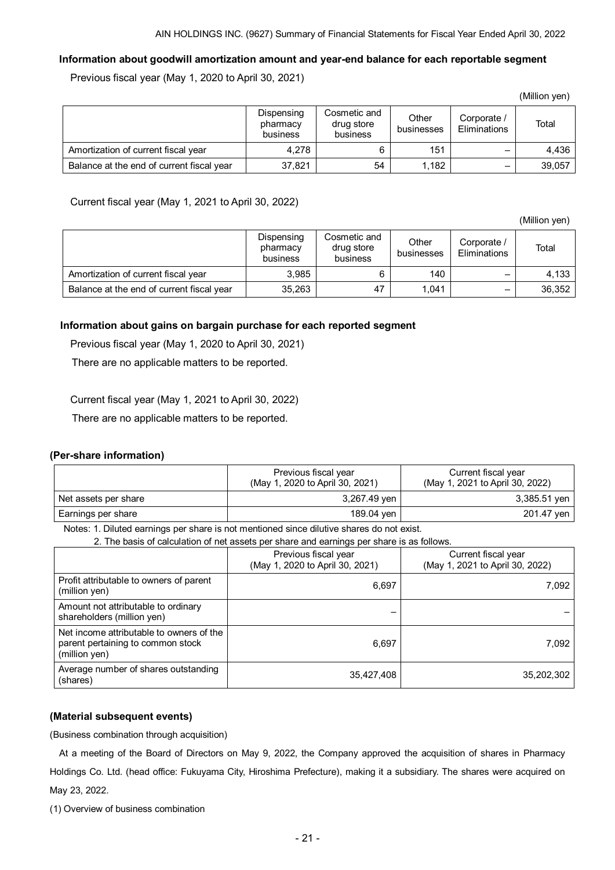## **Information about goodwill amortization amount and year-end balance for each reportable segment**

Previous fiscal year (May 1, 2020 to April 30, 2021)

|                                           |                                    |                                        |                     |                                    | (Million yen) |
|-------------------------------------------|------------------------------------|----------------------------------------|---------------------|------------------------------------|---------------|
|                                           | Dispensing<br>pharmacy<br>business | Cosmetic and<br>drug store<br>business | Other<br>businesses | Corporate /<br><b>Eliminations</b> | Total         |
| Amortization of current fiscal year       | 4.278                              | 6                                      | 151                 |                                    | 4.436         |
| Balance at the end of current fiscal year | 37,821                             | 54                                     | 1.182               |                                    | 39,057        |

Current fiscal year (May 1, 2021 to April 30, 2022)

(Million yen)

|                                           | Dispensing<br>pharmacy<br>business | Cosmetic and<br>drug store<br>business | Other<br>businesses | Corporate /<br>Eliminations | Total  |
|-------------------------------------------|------------------------------------|----------------------------------------|---------------------|-----------------------------|--------|
| Amortization of current fiscal year       | 3.985                              |                                        | 140                 |                             | 4.133  |
| Balance at the end of current fiscal year | 35,263                             | 47                                     | 1.041               |                             | 36,352 |

### **Information about gains on bargain purchase for each reported segment**

Previous fiscal year (May 1, 2020 to April 30, 2021)

There are no applicable matters to be reported.

Current fiscal year (May 1, 2021 to April 30, 2022)

There are no applicable matters to be reported.

#### <span id="page-22-0"></span>**(Per-share information)**

|                      | Previous fiscal year<br>(May 1, 2020 to April 30, 2021) | Current fiscal year<br>(May 1, 2021 to April 30, 2022) |
|----------------------|---------------------------------------------------------|--------------------------------------------------------|
| Net assets per share | 3,267.49 yen                                            | 3,385.51 yen                                           |
| Earnings per share   | 189.04 yen                                              | 201.47 ven l                                           |

Notes: 1. Diluted earnings per share is not mentioned since dilutive shares do not exist. 2. The basis of calculation of net assets per share and earnings per share is as follows.

| Z. The basis of calculation of het assets per share and earlings per share is as follows.      |                                                         |                                                        |  |
|------------------------------------------------------------------------------------------------|---------------------------------------------------------|--------------------------------------------------------|--|
|                                                                                                | Previous fiscal year<br>(May 1, 2020 to April 30, 2021) | Current fiscal year<br>(May 1, 2021 to April 30, 2022) |  |
| Profit attributable to owners of parent<br>(million yen)                                       | 6,697                                                   | 7,092                                                  |  |
| Amount not attributable to ordinary<br>shareholders (million yen)                              |                                                         |                                                        |  |
| Net income attributable to owners of the<br>parent pertaining to common stock<br>(million yen) | 6,697                                                   | 7,092                                                  |  |
| Average number of shares outstanding<br>(shares)                                               | 35,427,408                                              | 35,202,302                                             |  |

## <span id="page-22-1"></span>**(Material subsequent events)**

(Business combination through acquisition)

At a meeting of the Board of Directors on May 9, 2022, the Company approved the acquisition of shares in Pharmacy Holdings Co. Ltd. (head office: Fukuyama City, Hiroshima Prefecture), making it a subsidiary. The shares were acquired on May 23, 2022.

(1) Overview of business combination